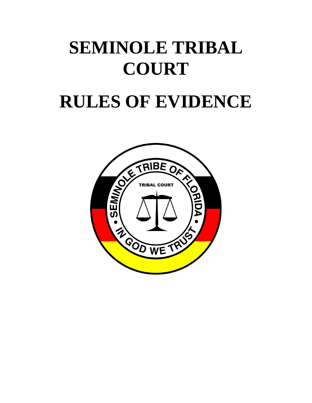# **SEMINOLE TRIBAL COURT**

## **RULES OF EVIDENCE**

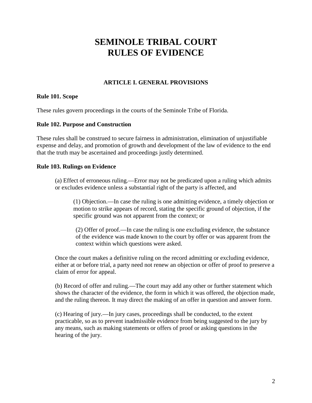### **SEMINOLE TRIBAL COURT RULES OF EVIDENCE**

#### **ARTICLE I. GENERAL PROVISIONS**

#### **Rule 101. Scope**

These rules govern proceedings in the courts of the Seminole Tribe of Florida.

#### **Rule 102. Purpose and Construction**

These rules shall be construed to secure fairness in administration, elimination of unjustifiable expense and delay, and promotion of growth and development of the law of evidence to the end that the truth may be ascertained and proceedings justly determined.

#### **Rule 103. Rulings on Evidence**

(a) Effect of erroneous ruling.—Error may not be predicated upon a ruling which admits or excludes evidence unless a substantial right of the party is affected, and

(1) Objection.—In case the ruling is one admitting evidence, a timely objection or motion to strike appears of record, stating the specific ground of objection, if the specific ground was not apparent from the context; or

(2) Offer of proof.—In case the ruling is one excluding evidence, the substance of the evidence was made known to the court by offer or was apparent from the context within which questions were asked.

Once the court makes a definitive ruling on the record admitting or excluding evidence, either at or before trial, a party need not renew an objection or offer of proof to preserve a claim of error for appeal.

(b) Record of offer and ruling.—The court may add any other or further statement which shows the character of the evidence, the form in which it was offered, the objection made, and the ruling thereon. It may direct the making of an offer in question and answer form.

(c) Hearing of jury.—In jury cases, proceedings shall be conducted, to the extent practicable, so as to prevent inadmissible evidence from being suggested to the jury by any means, such as making statements or offers of proof or asking questions in the hearing of the jury.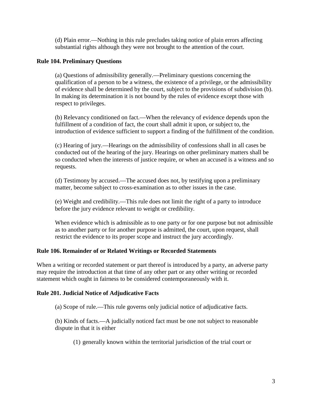(d) Plain error.—Nothing in this rule precludes taking notice of plain errors affecting substantial rights although they were not brought to the attention of the court.

#### **Rule 104. Preliminary Questions**

(a) Questions of admissibility generally.—Preliminary questions concerning the qualification of a person to be a witness, the existence of a privilege, or the admissibility of evidence shall be determined by the court, subject to the provisions of subdivision (b). In making its determination it is not bound by the rules of evidence except those with respect to privileges.

(b) Relevancy conditioned on fact.—When the relevancy of evidence depends upon the fulfillment of a condition of fact, the court shall admit it upon, or subject to, the introduction of evidence sufficient to support a finding of the fulfillment of the condition.

(c) Hearing of jury.—Hearings on the admissibility of confessions shall in all cases be conducted out of the hearing of the jury. Hearings on other preliminary matters shall be so conducted when the interests of justice require, or when an accused is a witness and so requests.

(d) Testimony by accused.—The accused does not, by testifying upon a preliminary matter, become subject to cross-examination as to other issues in the case.

(e) Weight and credibility.—This rule does not limit the right of a party to introduce before the jury evidence relevant to weight or credibility.

When evidence which is admissible as to one party or for one purpose but not admissible as to another party or for another purpose is admitted, the court, upon request, shall restrict the evidence to its proper scope and instruct the jury accordingly.

#### **Rule 106. Remainder of or Related Writings or Recorded Statements**

When a writing or recorded statement or part thereof is introduced by a party, an adverse party may require the introduction at that time of any other part or any other writing or recorded statement which ought in fairness to be considered contemporaneously with it.

#### **Rule 201. Judicial Notice of Adjudicative Facts**

(a) Scope of rule.—This rule governs only judicial notice of adjudicative facts.

(b) Kinds of facts.—A judicially noticed fact must be one not subject to reasonable dispute in that it is either

(1) generally known within the territorial jurisdiction of the trial court or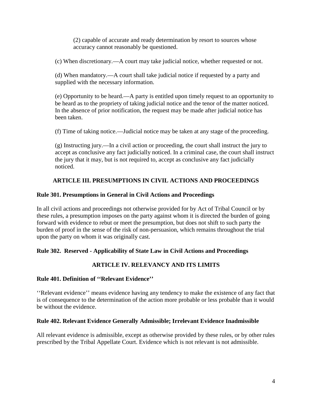(2) capable of accurate and ready determination by resort to sources whose accuracy cannot reasonably be questioned.

(c) When discretionary.—A court may take judicial notice, whether requested or not.

(d) When mandatory.—A court shall take judicial notice if requested by a party and supplied with the necessary information.

(e) Opportunity to be heard.—A party is entitled upon timely request to an opportunity to be heard as to the propriety of taking judicial notice and the tenor of the matter noticed. In the absence of prior notification, the request may be made after judicial notice has been taken.

(f) Time of taking notice.—Judicial notice may be taken at any stage of the proceeding.

(g) Instructing jury.—In a civil action or proceeding, the court shall instruct the jury to accept as conclusive any fact judicially noticed. In a criminal case, the court shall instruct the jury that it may, but is not required to, accept as conclusive any fact judicially noticed.

#### **ARTICLE III. PRESUMPTIONS IN CIVIL ACTIONS AND PROCEEDINGS**

#### **Rule 301. Presumptions in General in Civil Actions and Proceedings**

In all civil actions and proceedings not otherwise provided for by Act of Tribal Council or by these rules, a presumption imposes on the party against whom it is directed the burden of going forward with evidence to rebut or meet the presumption, but does not shift to such party the burden of proof in the sense of the risk of non-persuasion, which remains throughout the trial upon the party on whom it was originally cast.

#### **Rule 302. Reserved - Applicability of State Law in Civil Actions and Proceedings**

#### **ARTICLE IV. RELEVANCY AND ITS LIMITS**

#### **Rule 401. Definition of ''Relevant Evidence''**

''Relevant evidence'' means evidence having any tendency to make the existence of any fact that is of consequence to the determination of the action more probable or less probable than it would be without the evidence.

#### **Rule 402. Relevant Evidence Generally Admissible; Irrelevant Evidence Inadmissible**

All relevant evidence is admissible, except as otherwise provided by these rules, or by other rules prescribed by the Tribal Appellate Court. Evidence which is not relevant is not admissible.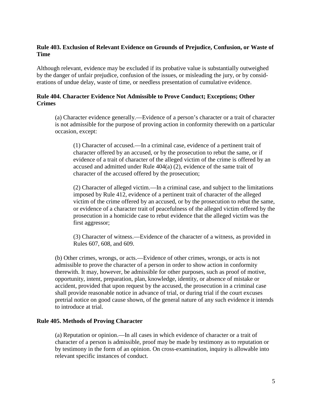#### **Rule 403. Exclusion of Relevant Evidence on Grounds of Prejudice, Confusion, or Waste of Time**

Although relevant, evidence may be excluded if its probative value is substantially outweighed by the danger of unfair prejudice, confusion of the issues, or misleading the jury, or by considerations of undue delay, waste of time, or needless presentation of cumulative evidence.

#### **Rule 404. Character Evidence Not Admissible to Prove Conduct; Exceptions; Other Crimes**

(a) Character evidence generally.—Evidence of a person's character or a trait of character is not admissible for the purpose of proving action in conformity therewith on a particular occasion, except:

(1) Character of accused.—In a criminal case, evidence of a pertinent trait of character offered by an accused, or by the prosecution to rebut the same, or if evidence of a trait of character of the alleged victim of the crime is offered by an accused and admitted under Rule 404(a) (2), evidence of the same trait of character of the accused offered by the prosecution;

(2) Character of alleged victim.—In a criminal case, and subject to the limitations imposed by Rule 412, evidence of a pertinent trait of character of the alleged victim of the crime offered by an accused, or by the prosecution to rebut the same, or evidence of a character trait of peacefulness of the alleged victim offered by the prosecution in a homicide case to rebut evidence that the alleged victim was the first aggressor;

(3) Character of witness.—Evidence of the character of a witness, as provided in Rules 607, 608, and 609.

(b) Other crimes, wrongs, or acts.—Evidence of other crimes, wrongs, or acts is not admissible to prove the character of a person in order to show action in conformity therewith. It may, however, be admissible for other purposes, such as proof of motive, opportunity, intent, preparation, plan, knowledge, identity, or absence of mistake or accident, provided that upon request by the accused, the prosecution in a criminal case shall provide reasonable notice in advance of trial, or during trial if the court excuses pretrial notice on good cause shown, of the general nature of any such evidence it intends to introduce at trial.

#### **Rule 405. Methods of Proving Character**

(a) Reputation or opinion.—In all cases in which evidence of character or a trait of character of a person is admissible, proof may be made by testimony as to reputation or by testimony in the form of an opinion. On cross-examination, inquiry is allowable into relevant specific instances of conduct.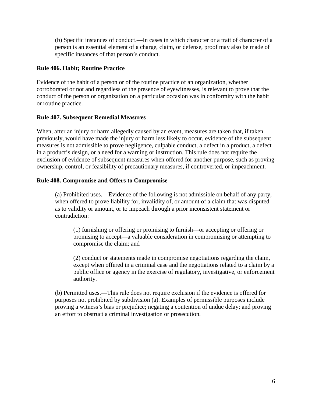(b) Specific instances of conduct.—In cases in which character or a trait of character of a person is an essential element of a charge, claim, or defense, proof may also be made of specific instances of that person's conduct.

#### **Rule 406. Habit; Routine Practice**

Evidence of the habit of a person or of the routine practice of an organization, whether corroborated or not and regardless of the presence of eyewitnesses, is relevant to prove that the conduct of the person or organization on a particular occasion was in conformity with the habit or routine practice.

#### **Rule 407. Subsequent Remedial Measures**

When, after an injury or harm allegedly caused by an event, measures are taken that, if taken previously, would have made the injury or harm less likely to occur, evidence of the subsequent measures is not admissible to prove negligence, culpable conduct, a defect in a product, a defect in a product's design, or a need for a warning or instruction. This rule does not require the exclusion of evidence of subsequent measures when offered for another purpose, such as proving ownership, control, or feasibility of precautionary measures, if controverted, or impeachment.

#### **Rule 408. Compromise and Offers to Compromise**

(a) Prohibited uses.—Evidence of the following is not admissible on behalf of any party, when offered to prove liability for, invalidity of, or amount of a claim that was disputed as to validity or amount, or to impeach through a prior inconsistent statement or contradiction:

(1) furnishing or offering or promising to furnish—or accepting or offering or promising to accept—a valuable consideration in compromising or attempting to compromise the claim; and

(2) conduct or statements made in compromise negotiations regarding the claim, except when offered in a criminal case and the negotiations related to a claim by a public office or agency in the exercise of regulatory, investigative, or enforcement authority.

(b) Permitted uses.—This rule does not require exclusion if the evidence is offered for purposes not prohibited by subdivision (a). Examples of permissible purposes include proving a witness's bias or prejudice; negating a contention of undue delay; and proving an effort to obstruct a criminal investigation or prosecution.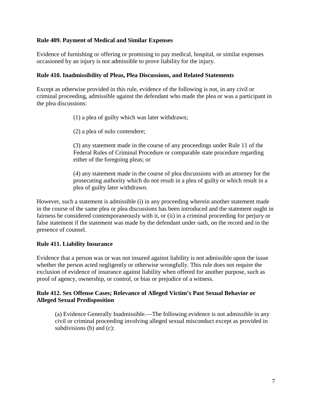#### **Rule 409. Payment of Medical and Similar Expenses**

Evidence of furnishing or offering or promising to pay medical, hospital, or similar expenses occasioned by an injury is not admissible to prove liability for the injury.

#### **Rule 410. Inadmissibility of Pleas, Plea Discussions, and Related Statements**

Except as otherwise provided in this rule, evidence of the following is not, in any civil or criminal proceeding, admissible against the defendant who made the plea or was a participant in the plea discussions:

(1) a plea of guilty which was later withdrawn;

(2) a plea of nolo contendere;

(3) any statement made in the course of any proceedings under Rule 11 of the Federal Rules of Criminal Procedure or comparable state procedure regarding either of the foregoing pleas; or

(4) any statement made in the course of plea discussions with an attorney for the prosecuting authority which do not result in a plea of guilty or which result in a plea of guilty later withdrawn.

However, such a statement is admissible (i) in any proceeding wherein another statement made in the course of the same plea or plea discussions has been introduced and the statement ought in fairness be considered contemporaneously with it, or (ii) in a criminal proceeding for perjury or false statement if the statement was made by the defendant under oath, on the record and in the presence of counsel.

#### **Rule 411. Liability Insurance**

Evidence that a person was or was not insured against liability is not admissible upon the issue whether the person acted negligently or otherwise wrongfully. This rule does not require the exclusion of evidence of insurance against liability when offered for another purpose, such as proof of agency, ownership, or control, or bias or prejudice of a witness.

#### **Rule 412. Sex Offense Cases; Relevance of Alleged Victim's Past Sexual Behavior or Alleged Sexual Predisposition**

(a) Evidence Generally Inadmissible.—The following evidence is not admissible in any civil or criminal proceeding involving alleged sexual misconduct except as provided in subdivisions (b) and (c):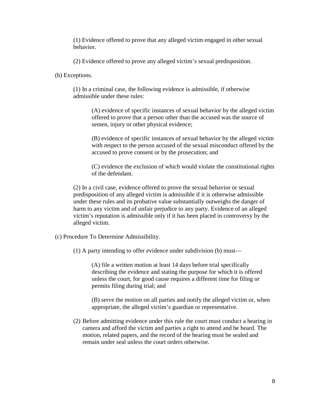(1) Evidence offered to prove that any alleged victim engaged in other sexual behavior.

(2) Evidence offered to prove any alleged victim's sexual predisposition.

(b) Exceptions.

(1) In a criminal case, the following evidence is admissible, if otherwise admissible under these rules:

> (A) evidence of specific instances of sexual behavior by the alleged victim offered to prove that a person other than the accused was the source of semen, injury or other physical evidence;

> (B) evidence of specific instances of sexual behavior by the alleged victim with respect to the person accused of the sexual misconduct offered by the accused to prove consent or by the prosecution; and

> (C) evidence the exclusion of which would violate the constitutional rights of the defendant.

(2) In a civil case, evidence offered to prove the sexual behavior or sexual predisposition of any alleged victim is admissible if it is otherwise admissible under these rules and its probative value substantially outweighs the danger of harm to any victim and of unfair prejudice to any party. Evidence of an alleged victim's reputation is admissible only if it has been placed in controversy by the alleged victim.

(c) Procedure To Determine Admissibility.

(1) A party intending to offer evidence under subdivision (b) must—

(A) file a written motion at least 14 days before trial specifically describing the evidence and stating the purpose for which it is offered unless the court, for good cause requires a different time for filing or permits filing during trial; and

(B) serve the motion on all parties and notify the alleged victim or, when appropriate, the alleged victim's guardian or representative.

(2) Before admitting evidence under this rule the court must conduct a hearing in camera and afford the victim and parties a right to attend and be heard. The motion, related papers, and the record of the hearing must be sealed and remain under seal unless the court orders otherwise.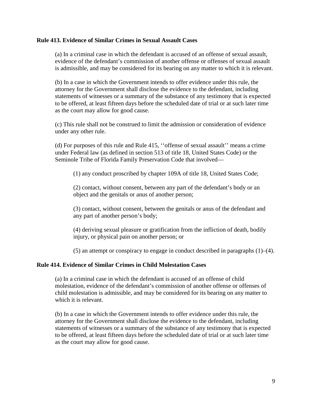#### **Rule 413. Evidence of Similar Crimes in Sexual Assault Cases**

(a) In a criminal case in which the defendant is accused of an offense of sexual assault, evidence of the defendant's commission of another offense or offenses of sexual assault is admissible, and may be considered for its bearing on any matter to which it is relevant.

(b) In a case in which the Government intends to offer evidence under this rule, the attorney for the Government shall disclose the evidence to the defendant, including statements of witnesses or a summary of the substance of any testimony that is expected to be offered, at least fifteen days before the scheduled date of trial or at such later time as the court may allow for good cause.

(c) This rule shall not be construed to limit the admission or consideration of evidence under any other rule.

(d) For purposes of this rule and Rule 415, ''offense of sexual assault'' means a crime under Federal law (as defined in section 513 of title 18, United States Code) or the Seminole Tribe of Florida Family Preservation Code that involved—

(1) any conduct proscribed by chapter 109A of title 18, United States Code;

(2) contact, without consent, between any part of the defendant's body or an object and the genitals or anus of another person;

(3) contact, without consent, between the genitals or anus of the defendant and any part of another person's body;

(4) deriving sexual pleasure or gratification from the infliction of death, bodily injury, or physical pain on another person; or

(5) an attempt or conspiracy to engage in conduct described in paragraphs (1)–(4).

#### **Rule 414. Evidence of Similar Crimes in Child Molestation Cases**

(a) In a criminal case in which the defendant is accused of an offense of child molestation, evidence of the defendant's commission of another offense or offenses of child molestation is admissible, and may be considered for its bearing on any matter to which it is relevant.

(b) In a case in which the Government intends to offer evidence under this rule, the attorney for the Government shall disclose the evidence to the defendant, including statements of witnesses or a summary of the substance of any testimony that is expected to be offered, at least fifteen days before the scheduled date of trial or at such later time as the court may allow for good cause.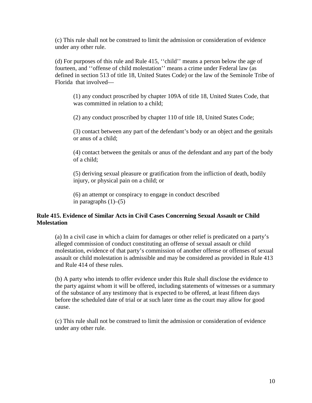(c) This rule shall not be construed to limit the admission or consideration of evidence under any other rule.

(d) For purposes of this rule and Rule 415, ''child'' means a person below the age of fourteen, and ''offense of child molestation'' means a crime under Federal law (as defined in section 513 of title 18, United States Code) or the law of the Seminole Tribe of Florida that involved—

(1) any conduct proscribed by chapter 109A of title 18, United States Code, that was committed in relation to a child;

(2) any conduct proscribed by chapter 110 of title 18, United States Code;

(3) contact between any part of the defendant's body or an object and the genitals or anus of a child;

(4) contact between the genitals or anus of the defendant and any part of the body of a child;

(5) deriving sexual pleasure or gratification from the infliction of death, bodily injury, or physical pain on a child; or

(6) an attempt or conspiracy to engage in conduct described in paragraphs  $(1)$ – $(5)$ 

#### **Rule 415. Evidence of Similar Acts in Civil Cases Concerning Sexual Assault or Child Molestation**

(a) In a civil case in which a claim for damages or other relief is predicated on a party's alleged commission of conduct constituting an offense of sexual assault or child molestation, evidence of that party's commission of another offense or offenses of sexual assault or child molestation is admissible and may be considered as provided in Rule 413 and Rule 414 of these rules.

(b) A party who intends to offer evidence under this Rule shall disclose the evidence to the party against whom it will be offered, including statements of witnesses or a summary of the substance of any testimony that is expected to be offered, at least fifteen days before the scheduled date of trial or at such later time as the court may allow for good cause.

(c) This rule shall not be construed to limit the admission or consideration of evidence under any other rule.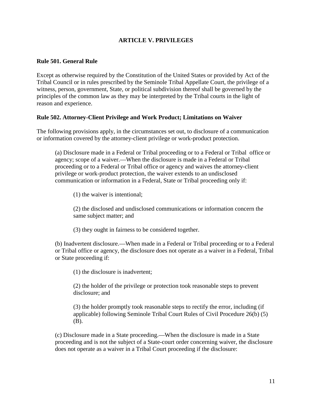#### **ARTICLE V. PRIVILEGES**

#### **Rule 501. General Rule**

Except as otherwise required by the Constitution of the United States or provided by Act of the Tribal Council or in rules prescribed by the Seminole Tribal Appellate Court, the privilege of a witness, person, government, State, or political subdivision thereof shall be governed by the principles of the common law as they may be interpreted by the Tribal courts in the light of reason and experience.

#### **Rule 502. Attorney-Client Privilege and Work Product; Limitations on Waiver**

The following provisions apply, in the circumstances set out, to disclosure of a communication or information covered by the attorney-client privilege or work-product protection.

(a) Disclosure made in a Federal or Tribal proceeding or to a Federal or Tribal office or agency; scope of a waiver.—When the disclosure is made in a Federal or Tribal proceeding or to a Federal or Tribal office or agency and waives the attorney-client privilege or work-product protection, the waiver extends to an undisclosed communication or information in a Federal, State or Tribal proceeding only if:

(1) the waiver is intentional;

(2) the disclosed and undisclosed communications or information concern the same subject matter; and

(3) they ought in fairness to be considered together.

(b) Inadvertent disclosure.—When made in a Federal or Tribal proceeding or to a Federal or Tribal office or agency, the disclosure does not operate as a waiver in a Federal, Tribal or State proceeding if:

(1) the disclosure is inadvertent;

(2) the holder of the privilege or protection took reasonable steps to prevent disclosure; and

(3) the holder promptly took reasonable steps to rectify the error, including (if applicable) following Seminole Tribal Court Rules of Civil Procedure 26(b) (5) (B).

(c) Disclosure made in a State proceeding.—When the disclosure is made in a State proceeding and is not the subject of a State-court order concerning waiver, the disclosure does not operate as a waiver in a Tribal Court proceeding if the disclosure: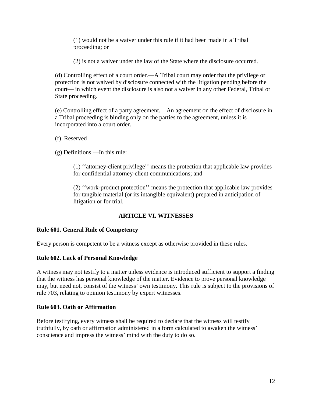(1) would not be a waiver under this rule if it had been made in a Tribal proceeding; or

(2) is not a waiver under the law of the State where the disclosure occurred.

(d) Controlling effect of a court order.—A Tribal court may order that the privilege or protection is not waived by disclosure connected with the litigation pending before the court— in which event the disclosure is also not a waiver in any other Federal, Tribal or State proceeding.

(e) Controlling effect of a party agreement.—An agreement on the effect of disclosure in a Tribal proceeding is binding only on the parties to the agreement, unless it is incorporated into a court order.

(f) Reserved

(g) Definitions.—In this rule:

(1) ''attorney-client privilege'' means the protection that applicable law provides for confidential attorney-client communications; and

(2) ''work-product protection'' means the protection that applicable law provides for tangible material (or its intangible equivalent) prepared in anticipation of litigation or for trial.

#### **ARTICLE VI. WITNESSES**

#### **Rule 601. General Rule of Competency**

Every person is competent to be a witness except as otherwise provided in these rules.

#### **Rule 602. Lack of Personal Knowledge**

A witness may not testify to a matter unless evidence is introduced sufficient to support a finding that the witness has personal knowledge of the matter. Evidence to prove personal knowledge may, but need not, consist of the witness' own testimony. This rule is subject to the provisions of rule 703, relating to opinion testimony by expert witnesses.

#### **Rule 603. Oath or Affirmation**

Before testifying, every witness shall be required to declare that the witness will testify truthfully, by oath or affirmation administered in a form calculated to awaken the witness' conscience and impress the witness' mind with the duty to do so.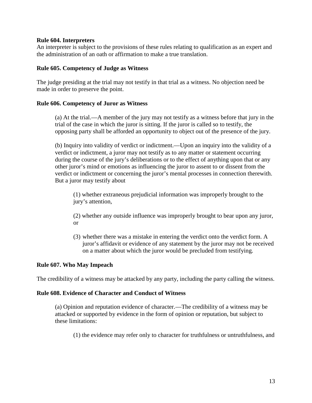#### **Rule 604. Interpreters**

An interpreter is subject to the provisions of these rules relating to qualification as an expert and the administration of an oath or affirmation to make a true translation.

#### **Rule 605. Competency of Judge as Witness**

The judge presiding at the trial may not testify in that trial as a witness. No objection need be made in order to preserve the point.

#### **Rule 606. Competency of Juror as Witness**

(a) At the trial.—A member of the jury may not testify as a witness before that jury in the trial of the case in which the juror is sitting. If the juror is called so to testify, the opposing party shall be afforded an opportunity to object out of the presence of the jury.

(b) Inquiry into validity of verdict or indictment.—Upon an inquiry into the validity of a verdict or indictment, a juror may not testify as to any matter or statement occurring during the course of the jury's deliberations or to the effect of anything upon that or any other juror's mind or emotions as influencing the juror to assent to or dissent from the verdict or indictment or concerning the juror's mental processes in connection therewith. But a juror may testify about

(1) whether extraneous prejudicial information was improperly brought to the jury's attention,

(2) whether any outside influence was improperly brought to bear upon any juror, or

(3) whether there was a mistake in entering the verdict onto the verdict form. A juror's affidavit or evidence of any statement by the juror may not be received on a matter about which the juror would be precluded from testifying.

#### **Rule 607. Who May Impeach**

The credibility of a witness may be attacked by any party, including the party calling the witness.

#### **Rule 608. Evidence of Character and Conduct of Witness**

(a) Opinion and reputation evidence of character.—The credibility of a witness may be attacked or supported by evidence in the form of opinion or reputation, but subject to these limitations:

(1) the evidence may refer only to character for truthfulness or untruthfulness, and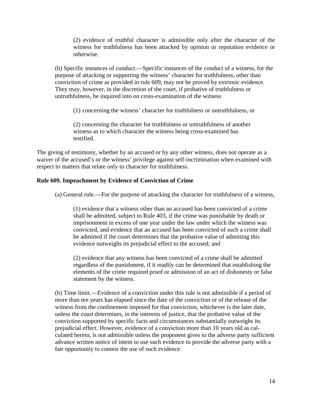(2) evidence of truthful character is admissible only after the character of the witness for truthfulness has been attacked by opinion or reputation evidence or otherwise.

(b) Specific instances of conduct.—Specific instances of the conduct of a witness, for the purpose of attacking or supporting the witness' character for truthfulness, other than conviction of crime as provided in rule 609, may not be proved by extrinsic evidence. They may, however, in the discretion of the court, if probative of truthfulness or untruthfulness, be inquired into on cross-examination of the witness

(1) concerning the witness' character for truthfulness or untruthfulness, or

(2) concerning the character for truthfulness or untruthfulness of another witness as to which character the witness being cross-examined has testified.

The giving of testimony, whether by an accused or by any other witness, does not operate as a waiver of the accused's or the witness' privilege against self-incrimination when examined with respect to matters that relate only to character for truthfulness.

#### **Rule 609. Impeachment by Evidence of Conviction of Crime**

(a) General rule.—For the purpose of attacking the character for truthfulness of a witness,

(1) evidence that a witness other than an accused has been convicted of a crime shall be admitted, subject to Rule 403, if the crime was punishable by death or imprisonment in excess of one year under the law under which the witness was convicted, and evidence that an accused has been convicted of such a crime shall be admitted if the court determines that the probative value of admitting this evidence outweighs its prejudicial effect to the accused; and

(2) evidence that any witness has been convicted of a crime shall be admitted regardless of the punishment, if it readily can be determined that establishing the elements of the crime required proof or admission of an act of dishonesty or false statement by the witness.

(b) Time limit.—Evidence of a conviction under this rule is not admissible if a period of more than ten years has elapsed since the date of the conviction or of the release of the witness from the confinement imposed for that conviction, whichever is the later date, unless the court determines, in the interests of justice, that the probative value of the conviction supported by specific facts and circumstances substantially outweighs its prejudicial effect. However, evidence of a conviction more than 10 years old as calculated herein, is not admissible unless the proponent gives to the adverse party sufficient advance written notice of intent to use such evidence to provide the adverse party with a fair opportunity to contest the use of such evidence.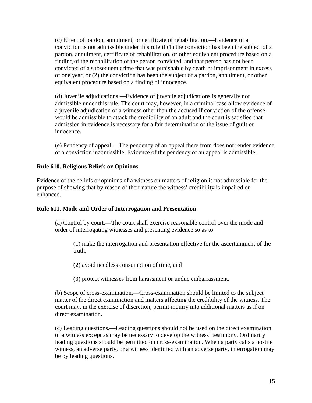(c) Effect of pardon, annulment, or certificate of rehabilitation.—Evidence of a conviction is not admissible under this rule if (1) the conviction has been the subject of a pardon, annulment, certificate of rehabilitation, or other equivalent procedure based on a finding of the rehabilitation of the person convicted, and that person has not been convicted of a subsequent crime that was punishable by death or imprisonment in excess of one year, or (2) the conviction has been the subject of a pardon, annulment, or other equivalent procedure based on a finding of innocence.

(d) Juvenile adjudications.—Evidence of juvenile adjudications is generally not admissible under this rule. The court may, however, in a criminal case allow evidence of a juvenile adjudication of a witness other than the accused if conviction of the offense would be admissible to attack the credibility of an adult and the court is satisfied that admission in evidence is necessary for a fair determination of the issue of guilt or innocence.

(e) Pendency of appeal.—The pendency of an appeal there from does not render evidence of a conviction inadmissible. Evidence of the pendency of an appeal is admissible.

#### **Rule 610. Religious Beliefs or Opinions**

Evidence of the beliefs or opinions of a witness on matters of religion is not admissible for the purpose of showing that by reason of their nature the witness' credibility is impaired or enhanced.

#### **Rule 611. Mode and Order of Interrogation and Presentation**

(a) Control by court.—The court shall exercise reasonable control over the mode and order of interrogating witnesses and presenting evidence so as to

(1) make the interrogation and presentation effective for the ascertainment of the truth,

(2) avoid needless consumption of time, and

(3) protect witnesses from harassment or undue embarrassment.

(b) Scope of cross-examination.—Cross-examination should be limited to the subject matter of the direct examination and matters affecting the credibility of the witness. The court may, in the exercise of discretion, permit inquiry into additional matters as if on direct examination.

(c) Leading questions.—Leading questions should not be used on the direct examination of a witness except as may be necessary to develop the witness' testimony. Ordinarily leading questions should be permitted on cross-examination. When a party calls a hostile witness, an adverse party, or a witness identified with an adverse party, interrogation may be by leading questions.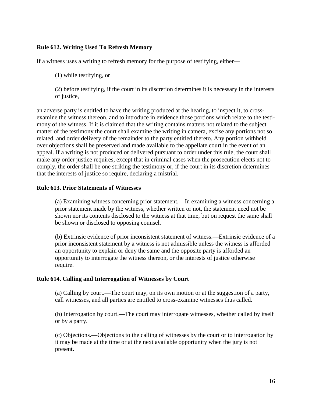#### **Rule 612. Writing Used To Refresh Memory**

If a witness uses a writing to refresh memory for the purpose of testifying, either—

(1) while testifying, or

(2) before testifying, if the court in its discretion determines it is necessary in the interests of justice,

an adverse party is entitled to have the writing produced at the hearing, to inspect it, to crossexamine the witness thereon, and to introduce in evidence those portions which relate to the testimony of the witness. If it is claimed that the writing contains matters not related to the subject matter of the testimony the court shall examine the writing in camera, excise any portions not so related, and order delivery of the remainder to the party entitled thereto. Any portion withheld over objections shall be preserved and made available to the appellate court in the event of an appeal. If a writing is not produced or delivered pursuant to order under this rule, the court shall make any order justice requires, except that in criminal cases when the prosecution elects not to comply, the order shall be one striking the testimony or, if the court in its discretion determines that the interests of justice so require, declaring a mistrial.

#### **Rule 613. Prior Statements of Witnesses**

(a) Examining witness concerning prior statement.—In examining a witness concerning a prior statement made by the witness, whether written or not, the statement need not be shown nor its contents disclosed to the witness at that time, but on request the same shall be shown or disclosed to opposing counsel.

(b) Extrinsic evidence of prior inconsistent statement of witness.—Extrinsic evidence of a prior inconsistent statement by a witness is not admissible unless the witness is afforded an opportunity to explain or deny the same and the opposite party is afforded an opportunity to interrogate the witness thereon, or the interests of justice otherwise require.

#### **Rule 614. Calling and Interrogation of Witnesses by Court**

(a) Calling by court.—The court may, on its own motion or at the suggestion of a party, call witnesses, and all parties are entitled to cross-examine witnesses thus called.

(b) Interrogation by court.—The court may interrogate witnesses, whether called by itself or by a party.

(c) Objections.—Objections to the calling of witnesses by the court or to interrogation by it may be made at the time or at the next available opportunity when the jury is not present.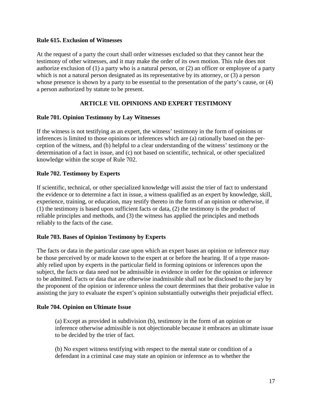#### **Rule 615. Exclusion of Witnesses**

At the request of a party the court shall order witnesses excluded so that they cannot hear the testimony of other witnesses, and it may make the order of its own motion. This rule does not authorize exclusion of (1) a party who is a natural person, or (2) an officer or employee of a party which is not a natural person designated as its representative by its attorney, or (3) a person whose presence is shown by a party to be essential to the presentation of the party's cause, or (4) a person authorized by statute to be present.

#### **ARTICLE VII. OPINIONS AND EXPERT TESTIMONY**

#### **Rule 701. Opinion Testimony by Lay Witnesses**

If the witness is not testifying as an expert, the witness' testimony in the form of opinions or inferences is limited to those opinions or inferences which are (a) rationally based on the perception of the witness, and (b) helpful to a clear understanding of the witness' testimony or the determination of a fact in issue, and (c) not based on scientific, technical, or other specialized knowledge within the scope of Rule 702.

#### **Rule 702. Testimony by Experts**

If scientific, technical, or other specialized knowledge will assist the trier of fact to understand the evidence or to determine a fact in issue, a witness qualified as an expert by knowledge, skill, experience, training, or education, may testify thereto in the form of an opinion or otherwise, if (1) the testimony is based upon sufficient facts or data, (2) the testimony is the product of reliable principles and methods, and (3) the witness has applied the principles and methods reliably to the facts of the case.

#### **Rule 703. Bases of Opinion Testimony by Experts**

The facts or data in the particular case upon which an expert bases an opinion or inference may be those perceived by or made known to the expert at or before the hearing. If of a type reasonably relied upon by experts in the particular field in forming opinions or inferences upon the subject, the facts or data need not be admissible in evidence in order for the opinion or inference to be admitted. Facts or data that are otherwise inadmissible shall not be disclosed to the jury by the proponent of the opinion or inference unless the court determines that their probative value in assisting the jury to evaluate the expert's opinion substantially outweighs their prejudicial effect.

#### **Rule 704. Opinion on Ultimate Issue**

(a) Except as provided in subdivision (b), testimony in the form of an opinion or inference otherwise admissible is not objectionable because it embraces an ultimate issue to be decided by the trier of fact.

(b) No expert witness testifying with respect to the mental state or condition of a defendant in a criminal case may state an opinion or inference as to whether the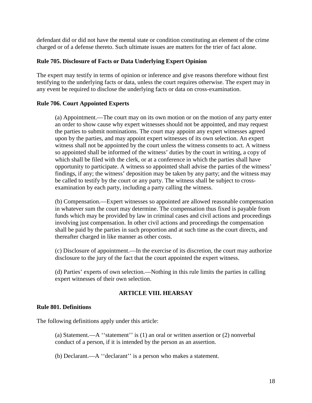defendant did or did not have the mental state or condition constituting an element of the crime charged or of a defense thereto. Such ultimate issues are matters for the trier of fact alone.

#### **Rule 705. Disclosure of Facts or Data Underlying Expert Opinion**

The expert may testify in terms of opinion or inference and give reasons therefore without first testifying to the underlying facts or data, unless the court requires otherwise. The expert may in any event be required to disclose the underlying facts or data on cross-examination.

#### **Rule 706. Court Appointed Experts**

(a) Appointment.—The court may on its own motion or on the motion of any party enter an order to show cause why expert witnesses should not be appointed, and may request the parties to submit nominations. The court may appoint any expert witnesses agreed upon by the parties, and may appoint expert witnesses of its own selection. An expert witness shall not be appointed by the court unless the witness consents to act. A witness so appointed shall be informed of the witness' duties by the court in writing, a copy of which shall be filed with the clerk, or at a conference in which the parties shall have opportunity to participate. A witness so appointed shall advise the parties of the witness' findings, if any; the witness' deposition may be taken by any party; and the witness may be called to testify by the court or any party. The witness shall be subject to crossexamination by each party, including a party calling the witness.

(b) Compensation.—Expert witnesses so appointed are allowed reasonable compensation in whatever sum the court may determine. The compensation thus fixed is payable from funds which may be provided by law in criminal cases and civil actions and proceedings involving just compensation. In other civil actions and proceedings the compensation shall be paid by the parties in such proportion and at such time as the court directs, and thereafter charged in like manner as other costs.

(c) Disclosure of appointment.—In the exercise of its discretion, the court may authorize disclosure to the jury of the fact that the court appointed the expert witness.

(d) Parties' experts of own selection.—Nothing in this rule limits the parties in calling expert witnesses of their own selection.

#### **ARTICLE VIII. HEARSAY**

#### **Rule 801. Definitions**

The following definitions apply under this article:

(a) Statement.—A ''statement'' is (1) an oral or written assertion or (2) nonverbal conduct of a person, if it is intended by the person as an assertion.

(b) Declarant.—A ''declarant'' is a person who makes a statement.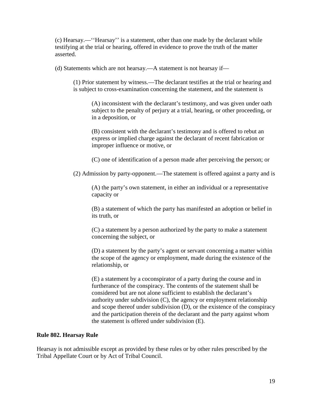(c) Hearsay.—''Hearsay'' is a statement, other than one made by the declarant while testifying at the trial or hearing, offered in evidence to prove the truth of the matter asserted.

(d) Statements which are not hearsay.—A statement is not hearsay if—

(1) Prior statement by witness.—The declarant testifies at the trial or hearing and is subject to cross-examination concerning the statement, and the statement is

(A) inconsistent with the declarant's testimony, and was given under oath subject to the penalty of perjury at a trial, hearing, or other proceeding, or in a deposition, or

(B) consistent with the declarant's testimony and is offered to rebut an express or implied charge against the declarant of recent fabrication or improper influence or motive, or

(C) one of identification of a person made after perceiving the person; or

(2) Admission by party-opponent.—The statement is offered against a party and is

(A) the party's own statement, in either an individual or a representative capacity or

(B) a statement of which the party has manifested an adoption or belief in its truth, or

(C) a statement by a person authorized by the party to make a statement concerning the subject, or

(D) a statement by the party's agent or servant concerning a matter within the scope of the agency or employment, made during the existence of the relationship, or

(E) a statement by a coconspirator of a party during the course and in furtherance of the conspiracy. The contents of the statement shall be considered but are not alone sufficient to establish the declarant's authority under subdivision (C), the agency or employment relationship and scope thereof under subdivision (D), or the existence of the conspiracy and the participation therein of the declarant and the party against whom the statement is offered under subdivision (E).

#### **Rule 802. Hearsay Rule**

Hearsay is not admissible except as provided by these rules or by other rules prescribed by the Tribal Appellate Court or by Act of Tribal Council.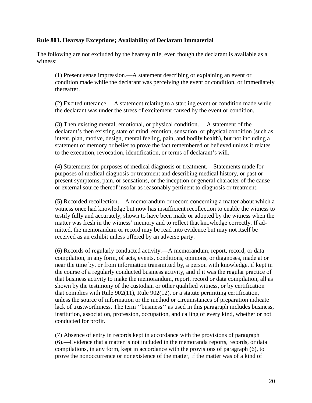#### **Rule 803. Hearsay Exceptions; Availability of Declarant Immaterial**

The following are not excluded by the hearsay rule, even though the declarant is available as a witness:

(1) Present sense impression.—A statement describing or explaining an event or condition made while the declarant was perceiving the event or condition, or immediately thereafter.

(2) Excited utterance.—A statement relating to a startling event or condition made while the declarant was under the stress of excitement caused by the event or condition.

(3) Then existing mental, emotional, or physical condition.— A statement of the declarant's then existing state of mind, emotion, sensation, or physical condition (such as intent, plan, motive, design, mental feeling, pain, and bodily health), but not including a statement of memory or belief to prove the fact remembered or believed unless it relates to the execution, revocation, identification, or terms of declarant's will.

(4) Statements for purposes of medical diagnosis or treatment.—Statements made for purposes of medical diagnosis or treatment and describing medical history, or past or present symptoms, pain, or sensations, or the inception or general character of the cause or external source thereof insofar as reasonably pertinent to diagnosis or treatment.

(5) Recorded recollection.—A memorandum or record concerning a matter about which a witness once had knowledge but now has insufficient recollection to enable the witness to testify fully and accurately, shown to have been made or adopted by the witness when the matter was fresh in the witness' memory and to reflect that knowledge correctly. If admitted, the memorandum or record may be read into evidence but may not itself be received as an exhibit unless offered by an adverse party.

(6) Records of regularly conducted activity.—A memorandum, report, record, or data compilation, in any form, of acts, events, conditions, opinions, or diagnoses, made at or near the time by, or from information transmitted by, a person with knowledge, if kept in the course of a regularly conducted business activity, and if it was the regular practice of that business activity to make the memorandum, report, record or data compilation, all as shown by the testimony of the custodian or other qualified witness, or by certification that complies with Rule 902(11), Rule 902(12), or a statute permitting certification, unless the source of information or the method or circumstances of preparation indicate lack of trustworthiness. The term ''business'' as used in this paragraph includes business, institution, association, profession, occupation, and calling of every kind, whether or not conducted for profit.

(7) Absence of entry in records kept in accordance with the provisions of paragraph (6).—Evidence that a matter is not included in the memoranda reports, records, or data compilations, in any form, kept in accordance with the provisions of paragraph (6), to prove the nonoccurrence or nonexistence of the matter, if the matter was of a kind of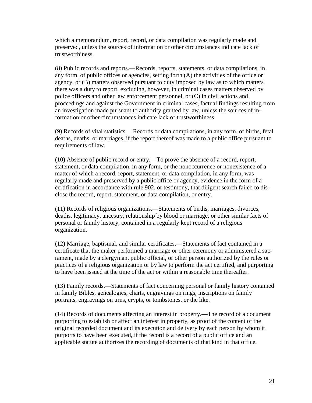which a memorandum, report, record, or data compilation was regularly made and preserved, unless the sources of information or other circumstances indicate lack of trustworthiness.

(8) Public records and reports.—Records, reports, statements, or data compilations, in any form, of public offices or agencies, setting forth (A) the activities of the office or agency, or (B) matters observed pursuant to duty imposed by law as to which matters there was a duty to report, excluding, however, in criminal cases matters observed by police officers and other law enforcement personnel, or (C) in civil actions and proceedings and against the Government in criminal cases, factual findings resulting from an investigation made pursuant to authority granted by law, unless the sources of information or other circumstances indicate lack of trustworthiness.

(9) Records of vital statistics.—Records or data compilations, in any form, of births, fetal deaths, deaths, or marriages, if the report thereof was made to a public office pursuant to requirements of law.

(10) Absence of public record or entry.—To prove the absence of a record, report, statement, or data compilation, in any form, or the nonoccurrence or nonexistence of a matter of which a record, report, statement, or data compilation, in any form, was regularly made and preserved by a public office or agency, evidence in the form of a certification in accordance with rule 902, or testimony, that diligent search failed to disclose the record, report, statement, or data compilation, or entry.

(11) Records of religious organizations.—Statements of births, marriages, divorces, deaths, legitimacy, ancestry, relationship by blood or marriage, or other similar facts of personal or family history, contained in a regularly kept record of a religious organization.

(12) Marriage, baptismal, and similar certificates.—Statements of fact contained in a certificate that the maker performed a marriage or other ceremony or administered a sacrament, made by a clergyman, public official, or other person authorized by the rules or practices of a religious organization or by law to perform the act certified, and purporting to have been issued at the time of the act or within a reasonable time thereafter.

(13) Family records.—Statements of fact concerning personal or family history contained in family Bibles, genealogies, charts, engravings on rings, inscriptions on family portraits, engravings on urns, crypts, or tombstones, or the like.

(14) Records of documents affecting an interest in property.—The record of a document purporting to establish or affect an interest in property, as proof of the content of the original recorded document and its execution and delivery by each person by whom it purports to have been executed, if the record is a record of a public office and an applicable statute authorizes the recording of documents of that kind in that office.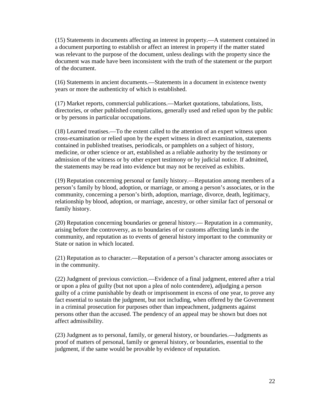(15) Statements in documents affecting an interest in property.—A statement contained in a document purporting to establish or affect an interest in property if the matter stated was relevant to the purpose of the document, unless dealings with the property since the document was made have been inconsistent with the truth of the statement or the purport of the document.

(16) Statements in ancient documents.—Statements in a document in existence twenty years or more the authenticity of which is established.

(17) Market reports, commercial publications.—Market quotations, tabulations, lists, directories, or other published compilations, generally used and relied upon by the public or by persons in particular occupations.

(18) Learned treatises.—To the extent called to the attention of an expert witness upon cross-examination or relied upon by the expert witness in direct examination, statements contained in published treatises, periodicals, or pamphlets on a subject of history, medicine, or other science or art, established as a reliable authority by the testimony or admission of the witness or by other expert testimony or by judicial notice. If admitted, the statements may be read into evidence but may not be received as exhibits.

(19) Reputation concerning personal or family history.—Reputation among members of a person's family by blood, adoption, or marriage, or among a person's associates, or in the community, concerning a person's birth, adoption, marriage, divorce, death, legitimacy, relationship by blood, adoption, or marriage, ancestry, or other similar fact of personal or family history.

(20) Reputation concerning boundaries or general history.— Reputation in a community, arising before the controversy, as to boundaries of or customs affecting lands in the community, and reputation as to events of general history important to the community or State or nation in which located.

(21) Reputation as to character.—Reputation of a person's character among associates or in the community.

(22) Judgment of previous conviction.—Evidence of a final judgment, entered after a trial or upon a plea of guilty (but not upon a plea of nolo contendere), adjudging a person guilty of a crime punishable by death or imprisonment in excess of one year, to prove any fact essential to sustain the judgment, but not including, when offered by the Government in a criminal prosecution for purposes other than impeachment, judgments against persons other than the accused. The pendency of an appeal may be shown but does not affect admissibility.

(23) Judgment as to personal, family, or general history, or boundaries.—Judgments as proof of matters of personal, family or general history, or boundaries, essential to the judgment, if the same would be provable by evidence of reputation.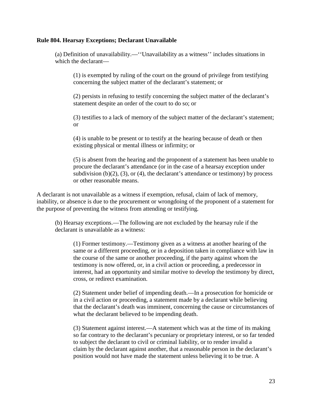#### **Rule 804. Hearsay Exceptions; Declarant Unavailable**

(a) Definition of unavailability.—''Unavailability as a witness'' includes situations in which the declarant—

(1) is exempted by ruling of the court on the ground of privilege from testifying concerning the subject matter of the declarant's statement; or

(2) persists in refusing to testify concerning the subject matter of the declarant's statement despite an order of the court to do so; or

(3) testifies to a lack of memory of the subject matter of the declarant's statement; or

(4) is unable to be present or to testify at the hearing because of death or then existing physical or mental illness or infirmity; or

(5) is absent from the hearing and the proponent of a statement has been unable to procure the declarant's attendance (or in the case of a hearsay exception under subdivision  $(b)(2)$ ,  $(3)$ , or  $(4)$ , the declarant's attendance or testimony) by process or other reasonable means.

A declarant is not unavailable as a witness if exemption, refusal, claim of lack of memory, inability, or absence is due to the procurement or wrongdoing of the proponent of a statement for the purpose of preventing the witness from attending or testifying.

(b) Hearsay exceptions.—The following are not excluded by the hearsay rule if the declarant is unavailable as a witness:

(1) Former testimony.—Testimony given as a witness at another hearing of the same or a different proceeding, or in a deposition taken in compliance with law in the course of the same or another proceeding, if the party against whom the testimony is now offered, or, in a civil action or proceeding, a predecessor in interest, had an opportunity and similar motive to develop the testimony by direct, cross, or redirect examination.

(2) Statement under belief of impending death.—In a prosecution for homicide or in a civil action or proceeding, a statement made by a declarant while believing that the declarant's death was imminent, concerning the cause or circumstances of what the declarant believed to be impending death.

(3) Statement against interest.—A statement which was at the time of its making so far contrary to the declarant's pecuniary or proprietary interest, or so far tended to subject the declarant to civil or criminal liability, or to render invalid a claim by the declarant against another, that a reasonable person in the declarant's position would not have made the statement unless believing it to be true. A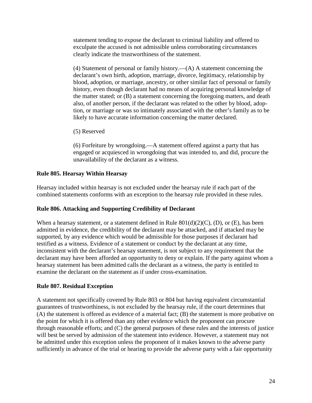statement tending to expose the declarant to criminal liability and offered to exculpate the accused is not admissible unless corroborating circumstances clearly indicate the trustworthiness of the statement.

(4) Statement of personal or family history.—(A) A statement concerning the declarant's own birth, adoption, marriage, divorce, legitimacy, relationship by blood, adoption, or marriage, ancestry, or other similar fact of personal or family history, even though declarant had no means of acquiring personal knowledge of the matter stated; or (B) a statement concerning the foregoing matters, and death also, of another person, if the declarant was related to the other by blood, adoption, or marriage or was so intimately associated with the other's family as to be likely to have accurate information concerning the matter declared.

(5) Reserved

(6) Forfeiture by wrongdoing.—A statement offered against a party that has engaged or acquiesced in wrongdoing that was intended to, and did, procure the unavailability of the declarant as a witness.

#### **Rule 805. Hearsay Within Hearsay**

Hearsay included within hearsay is not excluded under the hearsay rule if each part of the combined statements conforms with an exception to the hearsay rule provided in these rules.

#### **Rule 806. Attacking and Supporting Credibility of Declarant**

When a hearsay statement, or a statement defined in Rule  $801(d)(2)(C)$ , (D), or (E), has been admitted in evidence, the credibility of the declarant may be attacked, and if attacked may be supported, by any evidence which would be admissible for those purposes if declarant had testified as a witness. Evidence of a statement or conduct by the declarant at any time, inconsistent with the declarant's hearsay statement, is not subject to any requirement that the declarant may have been afforded an opportunity to deny or explain. If the party against whom a hearsay statement has been admitted calls the declarant as a witness, the party is entitled to examine the declarant on the statement as if under cross-examination.

#### **Rule 807. Residual Exception**

A statement not specifically covered by Rule 803 or 804 but having equivalent circumstantial guarantees of trustworthiness, is not excluded by the hearsay rule, if the court determines that (A) the statement is offered as evidence of a material fact; (B) the statement is more probative on the point for which it is offered than any other evidence which the proponent can procure through reasonable efforts; and (C) the general purposes of these rules and the interests of justice will best be served by admission of the statement into evidence. However, a statement may not be admitted under this exception unless the proponent of it makes known to the adverse party sufficiently in advance of the trial or hearing to provide the adverse party with a fair opportunity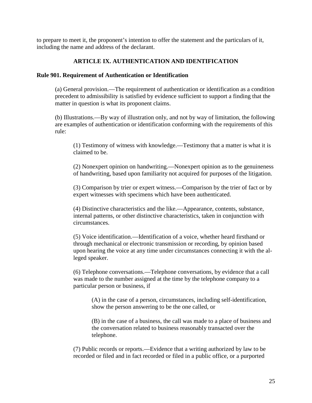to prepare to meet it, the proponent's intention to offer the statement and the particulars of it, including the name and address of the declarant.

#### **ARTICLE IX. AUTHENTICATION AND IDENTIFICATION**

#### **Rule 901. Requirement of Authentication or Identification**

(a) General provision.—The requirement of authentication or identification as a condition precedent to admissibility is satisfied by evidence sufficient to support a finding that the matter in question is what its proponent claims.

(b) Illustrations.—By way of illustration only, and not by way of limitation, the following are examples of authentication or identification conforming with the requirements of this rule:

(1) Testimony of witness with knowledge.—Testimony that a matter is what it is claimed to be.

(2) Nonexpert opinion on handwriting.—Nonexpert opinion as to the genuineness of handwriting, based upon familiarity not acquired for purposes of the litigation.

(3) Comparison by trier or expert witness.—Comparison by the trier of fact or by expert witnesses with specimens which have been authenticated.

(4) Distinctive characteristics and the like.—Appearance, contents, substance, internal patterns, or other distinctive characteristics, taken in conjunction with circumstances.

(5) Voice identification.—Identification of a voice, whether heard firsthand or through mechanical or electronic transmission or recording, by opinion based upon hearing the voice at any time under circumstances connecting it with the alleged speaker.

(6) Telephone conversations.—Telephone conversations, by evidence that a call was made to the number assigned at the time by the telephone company to a particular person or business, if

(A) in the case of a person, circumstances, including self-identification, show the person answering to be the one called, or

(B) in the case of a business, the call was made to a place of business and the conversation related to business reasonably transacted over the telephone.

(7) Public records or reports.—Evidence that a writing authorized by law to be recorded or filed and in fact recorded or filed in a public office, or a purported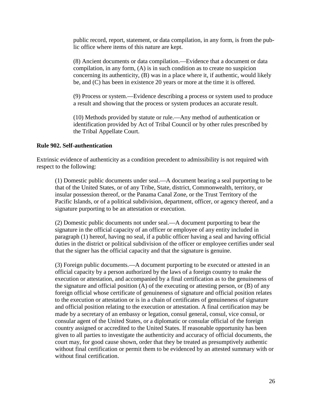public record, report, statement, or data compilation, in any form, is from the public office where items of this nature are kept.

(8) Ancient documents or data compilation.—Evidence that a document or data compilation, in any form, (A) is in such condition as to create no suspicion concerning its authenticity, (B) was in a place where it, if authentic, would likely be, and (C) has been in existence 20 years or more at the time it is offered.

(9) Process or system.—Evidence describing a process or system used to produce a result and showing that the process or system produces an accurate result.

(10) Methods provided by statute or rule.—Any method of authentication or identification provided by Act of Tribal Council or by other rules prescribed by the Tribal Appellate Court.

#### **Rule 902. Self-authentication**

Extrinsic evidence of authenticity as a condition precedent to admissibility is not required with respect to the following:

(1) Domestic public documents under seal.—A document bearing a seal purporting to be that of the United States, or of any Tribe, State, district, Commonwealth, territory, or insular possession thereof, or the Panama Canal Zone, or the Trust Territory of the Pacific Islands, or of a political subdivision, department, officer, or agency thereof, and a signature purporting to be an attestation or execution.

(2) Domestic public documents not under seal.—A document purporting to bear the signature in the official capacity of an officer or employee of any entity included in paragraph (1) hereof, having no seal, if a public officer having a seal and having official duties in the district or political subdivision of the officer or employee certifies under seal that the signer has the official capacity and that the signature is genuine.

(3) Foreign public documents.—A document purporting to be executed or attested in an official capacity by a person authorized by the laws of a foreign country to make the execution or attestation, and accompanied by a final certification as to the genuineness of the signature and official position (A) of the executing or attesting person, or (B) of any foreign official whose certificate of genuineness of signature and official position relates to the execution or attestation or is in a chain of certificates of genuineness of signature and official position relating to the execution or attestation. A final certification may be made by a secretary of an embassy or legation, consul general, consul, vice consul, or consular agent of the United States, or a diplomatic or consular official of the foreign country assigned or accredited to the United States. If reasonable opportunity has been given to all parties to investigate the authenticity and accuracy of official documents, the court may, for good cause shown, order that they be treated as presumptively authentic without final certification or permit them to be evidenced by an attested summary with or without final certification.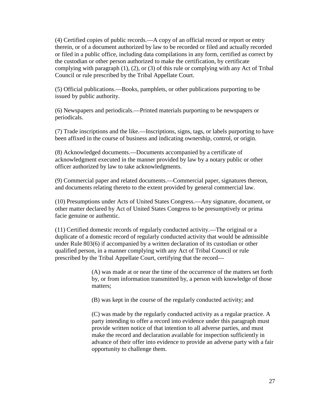(4) Certified copies of public records.—A copy of an official record or report or entry therein, or of a document authorized by law to be recorded or filed and actually recorded or filed in a public office, including data compilations in any form, certified as correct by the custodian or other person authorized to make the certification, by certificate complying with paragraph (1), (2), or (3) of this rule or complying with any Act of Tribal Council or rule prescribed by the Tribal Appellate Court.

(5) Official publications.—Books, pamphlets, or other publications purporting to be issued by public authority.

(6) Newspapers and periodicals.—Printed materials purporting to be newspapers or periodicals.

(7) Trade inscriptions and the like.—Inscriptions, signs, tags, or labels purporting to have been affixed in the course of business and indicating ownership, control, or origin.

(8) Acknowledged documents.—Documents accompanied by a certificate of acknowledgment executed in the manner provided by law by a notary public or other officer authorized by law to take acknowledgments.

(9) Commercial paper and related documents.—Commercial paper, signatures thereon, and documents relating thereto to the extent provided by general commercial law.

(10) Presumptions under Acts of United States Congress.—Any signature, document, or other matter declared by Act of United States Congress to be presumptively or prima facie genuine or authentic.

(11) Certified domestic records of regularly conducted activity.—The original or a duplicate of a domestic record of regularly conducted activity that would be admissible under Rule 803(6) if accompanied by a written declaration of its custodian or other qualified person, in a manner complying with any Act of Tribal Council or rule prescribed by the Tribal Appellate Court, certifying that the record—

> (A) was made at or near the time of the occurrence of the matters set forth by, or from information transmitted by, a person with knowledge of those matters;

(B) was kept in the course of the regularly conducted activity; and

(C) was made by the regularly conducted activity as a regular practice. A party intending to offer a record into evidence under this paragraph must provide written notice of that intention to all adverse parties, and must make the record and declaration available for inspection sufficiently in advance of their offer into evidence to provide an adverse party with a fair opportunity to challenge them.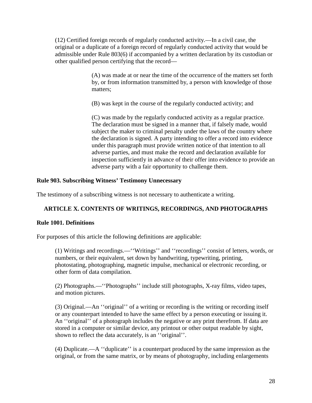(12) Certified foreign records of regularly conducted activity.—In a civil case, the original or a duplicate of a foreign record of regularly conducted activity that would be admissible under Rule 803(6) if accompanied by a written declaration by its custodian or other qualified person certifying that the record—

> (A) was made at or near the time of the occurrence of the matters set forth by, or from information transmitted by, a person with knowledge of those matters;

(B) was kept in the course of the regularly conducted activity; and

(C) was made by the regularly conducted activity as a regular practice. The declaration must be signed in a manner that, if falsely made, would subject the maker to criminal penalty under the laws of the country where the declaration is signed. A party intending to offer a record into evidence under this paragraph must provide written notice of that intention to all adverse parties, and must make the record and declaration available for inspection sufficiently in advance of their offer into evidence to provide an adverse party with a fair opportunity to challenge them.

#### **Rule 903. Subscribing Witness' Testimony Unnecessary**

The testimony of a subscribing witness is not necessary to authenticate a writing.

#### **ARTICLE X. CONTENTS OF WRITINGS, RECORDINGS, AND PHOTOGRAPHS**

#### **Rule 1001. Definitions**

For purposes of this article the following definitions are applicable:

(1) Writings and recordings.—''Writings'' and ''recordings'' consist of letters, words, or numbers, or their equivalent, set down by handwriting, typewriting, printing, photostating, photographing, magnetic impulse, mechanical or electronic recording, or other form of data compilation.

(2) Photographs.—''Photographs'' include still photographs, X-ray films, video tapes, and motion pictures.

(3) Original.—An ''original'' of a writing or recording is the writing or recording itself or any counterpart intended to have the same effect by a person executing or issuing it. An ''original'' of a photograph includes the negative or any print therefrom. If data are stored in a computer or similar device, any printout or other output readable by sight, shown to reflect the data accurately, is an ''original''.

(4) Duplicate.—A ''duplicate'' is a counterpart produced by the same impression as the original, or from the same matrix, or by means of photography, including enlargements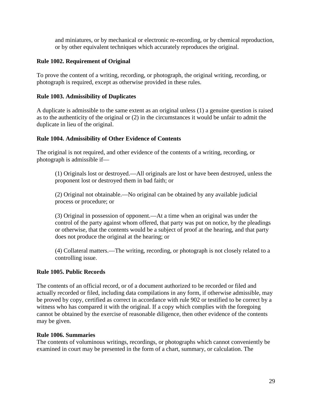and miniatures, or by mechanical or electronic re-recording, or by chemical reproduction, or by other equivalent techniques which accurately reproduces the original.

#### **Rule 1002. Requirement of Original**

To prove the content of a writing, recording, or photograph, the original writing, recording, or photograph is required, except as otherwise provided in these rules.

#### **Rule 1003. Admissibility of Duplicates**

A duplicate is admissible to the same extent as an original unless (1) a genuine question is raised as to the authenticity of the original or (2) in the circumstances it would be unfair to admit the duplicate in lieu of the original.

#### **Rule 1004. Admissibility of Other Evidence of Contents**

The original is not required, and other evidence of the contents of a writing, recording, or photograph is admissible if—

(1) Originals lost or destroyed.—All originals are lost or have been destroyed, unless the proponent lost or destroyed them in bad faith; or

(2) Original not obtainable.—No original can be obtained by any available judicial process or procedure; or

(3) Original in possession of opponent.—At a time when an original was under the control of the party against whom offered, that party was put on notice, by the pleadings or otherwise, that the contents would be a subject of proof at the hearing, and that party does not produce the original at the hearing; or

(4) Collateral matters.—The writing, recording, or photograph is not closely related to a controlling issue.

#### **Rule 1005. Public Records**

The contents of an official record, or of a document authorized to be recorded or filed and actually recorded or filed, including data compilations in any form, if otherwise admissible, may be proved by copy, certified as correct in accordance with rule 902 or testified to be correct by a witness who has compared it with the original. If a copy which complies with the foregoing cannot be obtained by the exercise of reasonable diligence, then other evidence of the contents may be given.

#### **Rule 1006. Summaries**

The contents of voluminous writings, recordings, or photographs which cannot conveniently be examined in court may be presented in the form of a chart, summary, or calculation. The